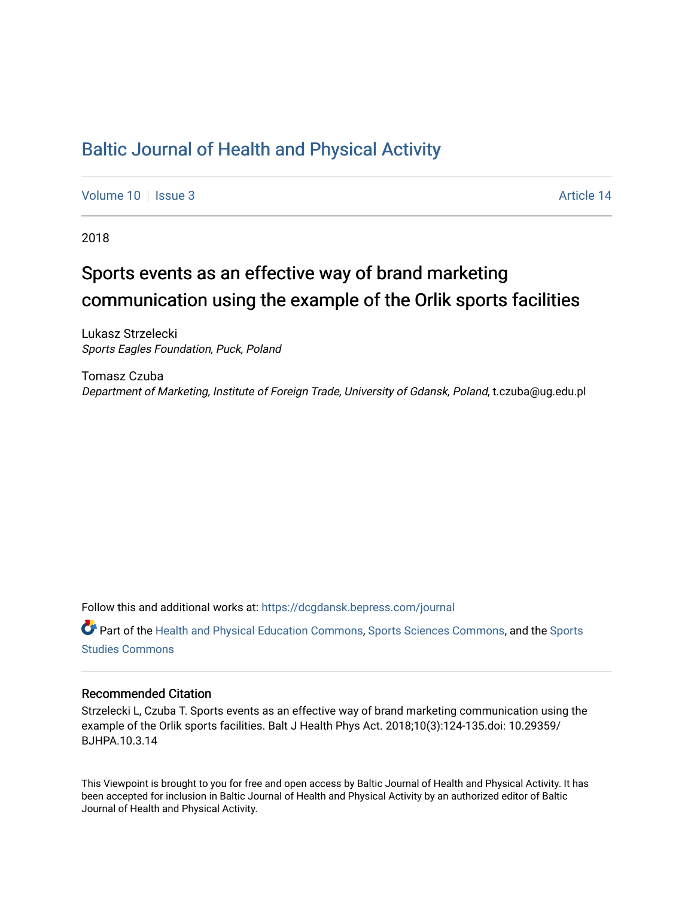## [Baltic Journal of Health and Physical Activity](https://dcgdansk.bepress.com/journal)

[Volume 10](https://dcgdansk.bepress.com/journal/vol10) | [Issue 3](https://dcgdansk.bepress.com/journal/vol10/iss3) Article 14

2018

## Sports events as an effective way of brand marketing communication using the example of the Orlik sports facilities

Lukasz Strzelecki Sports Eagles Foundation, Puck, Poland

Tomasz Czuba Department of Marketing, Institute of Foreign Trade, University of Gdansk, Poland, t.czuba@ug.edu.pl

Follow this and additional works at: [https://dcgdansk.bepress.com/journal](https://dcgdansk.bepress.com/journal?utm_source=dcgdansk.bepress.com%2Fjournal%2Fvol10%2Fiss3%2F14&utm_medium=PDF&utm_campaign=PDFCoverPages)

Part of the [Health and Physical Education Commons](http://network.bepress.com/hgg/discipline/1327?utm_source=dcgdansk.bepress.com%2Fjournal%2Fvol10%2Fiss3%2F14&utm_medium=PDF&utm_campaign=PDFCoverPages), [Sports Sciences Commons](http://network.bepress.com/hgg/discipline/759?utm_source=dcgdansk.bepress.com%2Fjournal%2Fvol10%2Fiss3%2F14&utm_medium=PDF&utm_campaign=PDFCoverPages), and the [Sports](http://network.bepress.com/hgg/discipline/1198?utm_source=dcgdansk.bepress.com%2Fjournal%2Fvol10%2Fiss3%2F14&utm_medium=PDF&utm_campaign=PDFCoverPages)  [Studies Commons](http://network.bepress.com/hgg/discipline/1198?utm_source=dcgdansk.bepress.com%2Fjournal%2Fvol10%2Fiss3%2F14&utm_medium=PDF&utm_campaign=PDFCoverPages) 

#### Recommended Citation

Strzelecki L, Czuba T. Sports events as an effective way of brand marketing communication using the example of the Orlik sports facilities. Balt J Health Phys Act. 2018;10(3):124-135.doi: 10.29359/ BJHPA.10.3.14

This Viewpoint is brought to you for free and open access by Baltic Journal of Health and Physical Activity. It has been accepted for inclusion in Baltic Journal of Health and Physical Activity by an authorized editor of Baltic Journal of Health and Physical Activity.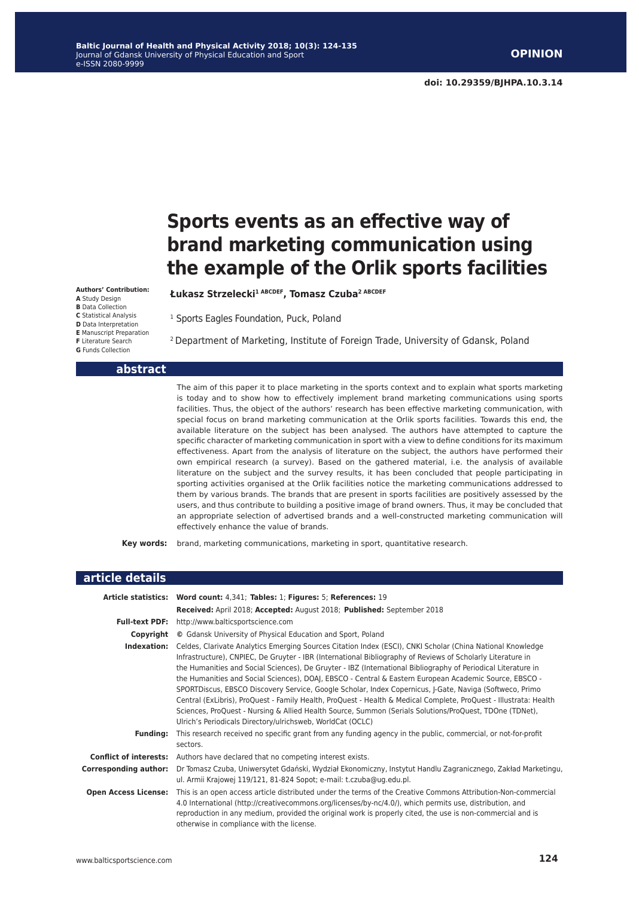# **Sports events as an effective way of brand marketing communication using the example of the Orlik sports facilities**

**Authors' Contribution: A** Study Design **B** Data Collection **C** Statistical Analysis **D** Data Interpretation **E** Manuscript Preparation **F** Literature Search

**G** Funds Collection

<sup>1</sup> Sports Eagles Foundation, Puck, Poland

**Łukasz Strzelecki1 ABCDEF, Tomasz Czuba2 ABCDEF**

2 Department of Marketing, Institute of Foreign Trade, University of Gdansk, Poland

#### **abstract**

The aim of this paper it to place marketing in the sports context and to explain what sports marketing is today and to show how to effectively implement brand marketing communications using sports facilities. Thus, the object of the authors' research has been effective marketing communication, with special focus on brand marketing communication at the Orlik sports facilities. Towards this end, the available literature on the subject has been analysed. The authors have attempted to capture the specific character of marketing communication in sport with a view to define conditions for its maximum effectiveness. Apart from the analysis of literature on the subject, the authors have performed their own empirical research (a survey). Based on the gathered material, i.e. the analysis of available literature on the subject and the survey results, it has been concluded that people participating in sporting activities organised at the Orlik facilities notice the marketing communications addressed to them by various brands. The brands that are present in sports facilities are positively assessed by the users, and thus contribute to building a positive image of brand owners. Thus, it may be concluded that an appropriate selection of advertised brands and a well-constructed marketing communication will effectively enhance the value of brands.

**Key words:** brand, marketing communications, marketing in sport, quantitative research.

| article details               |                                                                                                                                                                                                                                                                                                                                                                                                                                                                                                                                                                                                                                                                                                                                                                                                                                                               |  |  |
|-------------------------------|---------------------------------------------------------------------------------------------------------------------------------------------------------------------------------------------------------------------------------------------------------------------------------------------------------------------------------------------------------------------------------------------------------------------------------------------------------------------------------------------------------------------------------------------------------------------------------------------------------------------------------------------------------------------------------------------------------------------------------------------------------------------------------------------------------------------------------------------------------------|--|--|
|                               | Article statistics: Word count: 4,341; Tables: 1; Figures: 5; References: 19                                                                                                                                                                                                                                                                                                                                                                                                                                                                                                                                                                                                                                                                                                                                                                                  |  |  |
|                               | Received: April 2018; Accepted: August 2018; Published: September 2018                                                                                                                                                                                                                                                                                                                                                                                                                                                                                                                                                                                                                                                                                                                                                                                        |  |  |
|                               | Full-text PDF: http://www.balticsportscience.com                                                                                                                                                                                                                                                                                                                                                                                                                                                                                                                                                                                                                                                                                                                                                                                                              |  |  |
| Copyright                     | © Gdansk University of Physical Education and Sport, Poland                                                                                                                                                                                                                                                                                                                                                                                                                                                                                                                                                                                                                                                                                                                                                                                                   |  |  |
| Indexation:                   | Celdes, Clarivate Analytics Emerging Sources Citation Index (ESCI), CNKI Scholar (China National Knowledge<br>Infrastructure), CNPIEC, De Gruyter - IBR (International Bibliography of Reviews of Scholarly Literature in<br>the Humanities and Social Sciences), De Gruyter - IBZ (International Bibliography of Periodical Literature in<br>the Humanities and Social Sciences), DOAJ, EBSCO - Central & Eastern European Academic Source, EBSCO -<br>SPORTDiscus, EBSCO Discovery Service, Google Scholar, Index Copernicus, J-Gate, Naviga (Softweco, Primo<br>Central (ExLibris), ProQuest - Family Health, ProQuest - Health & Medical Complete, ProQuest - Illustrata: Health<br>Sciences, ProQuest - Nursing & Allied Health Source, Summon (Serials Solutions/ProQuest, TDOne (TDNet),<br>Ulrich's Periodicals Directory/ulrichsweb, WorldCat (OCLC) |  |  |
| <b>Fundina:</b>               | This research received no specific grant from any funding agency in the public, commercial, or not-for-profit<br>sectors.                                                                                                                                                                                                                                                                                                                                                                                                                                                                                                                                                                                                                                                                                                                                     |  |  |
| <b>Conflict of interests:</b> | Authors have declared that no competing interest exists.                                                                                                                                                                                                                                                                                                                                                                                                                                                                                                                                                                                                                                                                                                                                                                                                      |  |  |
| <b>Corresponding author:</b>  | Dr Tomasz Czuba, Uniwersytet Gdański, Wydział Ekonomiczny, Instytut Handlu Zagranicznego, Zakład Marketingu,<br>ul. Armii Krajowej 119/121, 81-824 Sopot; e-mail: t.czuba@ug.edu.pl.                                                                                                                                                                                                                                                                                                                                                                                                                                                                                                                                                                                                                                                                          |  |  |
| <b>Open Access License:</b>   | This is an open access article distributed under the terms of the Creative Commons Attribution-Non-commercial<br>4.0 International (http://creativecommons.org/licenses/by-nc/4.0/), which permits use, distribution, and<br>reproduction in any medium, provided the original work is properly cited, the use is non-commercial and is<br>otherwise in compliance with the license.                                                                                                                                                                                                                                                                                                                                                                                                                                                                          |  |  |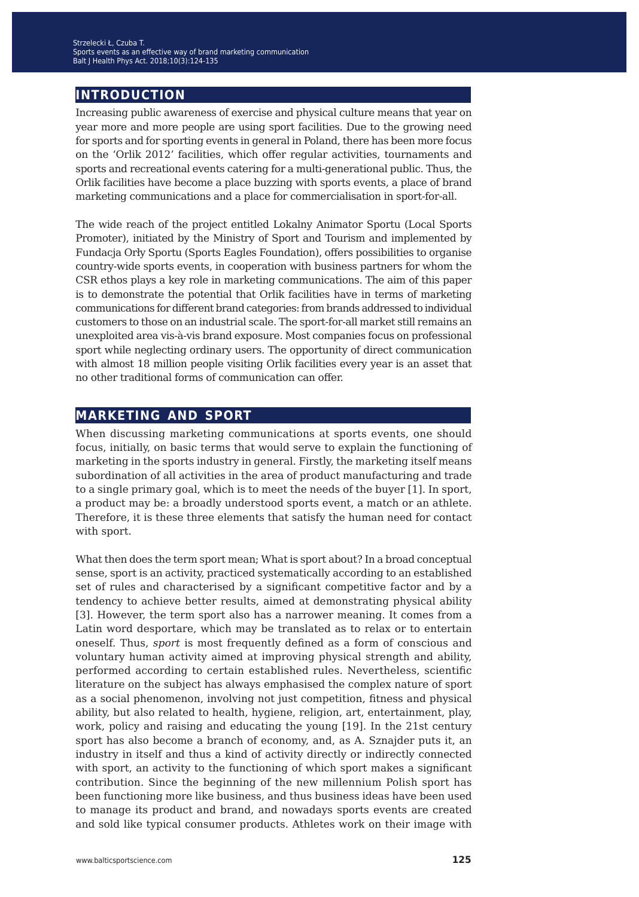### **introduction**

Increasing public awareness of exercise and physical culture means that year on year more and more people are using sport facilities. Due to the growing need for sports and for sporting events in general in Poland, there has been more focus on the 'Orlik 2012' facilities, which offer regular activities, tournaments and sports and recreational events catering for a multi-generational public. Thus, the Orlik facilities have become a place buzzing with sports events, a place of brand marketing communications and a place for commercialisation in sport-for-all.

The wide reach of the project entitled Lokalny Animator Sportu (Local Sports Promoter), initiated by the Ministry of Sport and Tourism and implemented by Fundacja Orły Sportu (Sports Eagles Foundation), offers possibilities to organise country-wide sports events, in cooperation with business partners for whom the CSR ethos plays a key role in marketing communications. The aim of this paper is to demonstrate the potential that Orlik facilities have in terms of marketing communications for different brand categories: from brands addressed to individual customers to those on an industrial scale. The sport-for-all market still remains an unexploited area vis-à-vis brand exposure. Most companies focus on professional sport while neglecting ordinary users. The opportunity of direct communication with almost 18 million people visiting Orlik facilities every year is an asset that no other traditional forms of communication can offer.

#### **marketing and sport**

When discussing marketing communications at sports events, one should focus, initially, on basic terms that would serve to explain the functioning of marketing in the sports industry in general. Firstly, the marketing itself means subordination of all activities in the area of product manufacturing and trade to a single primary goal, which is to meet the needs of the buyer [1]. In sport, a product may be: a broadly understood sports event, a match or an athlete. Therefore, it is these three elements that satisfy the human need for contact with sport.

What then does the term sport mean; What is sport about? In a broad conceptual sense, sport is an activity, practiced systematically according to an established set of rules and characterised by a significant competitive factor and by a tendency to achieve better results, aimed at demonstrating physical ability [3]. However, the term sport also has a narrower meaning. It comes from a Latin word desportare, which may be translated as to relax or to entertain oneself. Thus, *sport* is most frequently defined as a form of conscious and voluntary human activity aimed at improving physical strength and ability, performed according to certain established rules. Nevertheless, scientific literature on the subject has always emphasised the complex nature of sport as a social phenomenon, involving not just competition, fitness and physical ability, but also related to health, hygiene, religion, art, entertainment, play, work, policy and raising and educating the young [19]. In the 21st century sport has also become a branch of economy, and, as A. Sznajder puts it, an industry in itself and thus a kind of activity directly or indirectly connected with sport, an activity to the functioning of which sport makes a significant contribution. Since the beginning of the new millennium Polish sport has been functioning more like business, and thus business ideas have been used to manage its product and brand, and nowadays sports events are created and sold like typical consumer products. Athletes work on their image with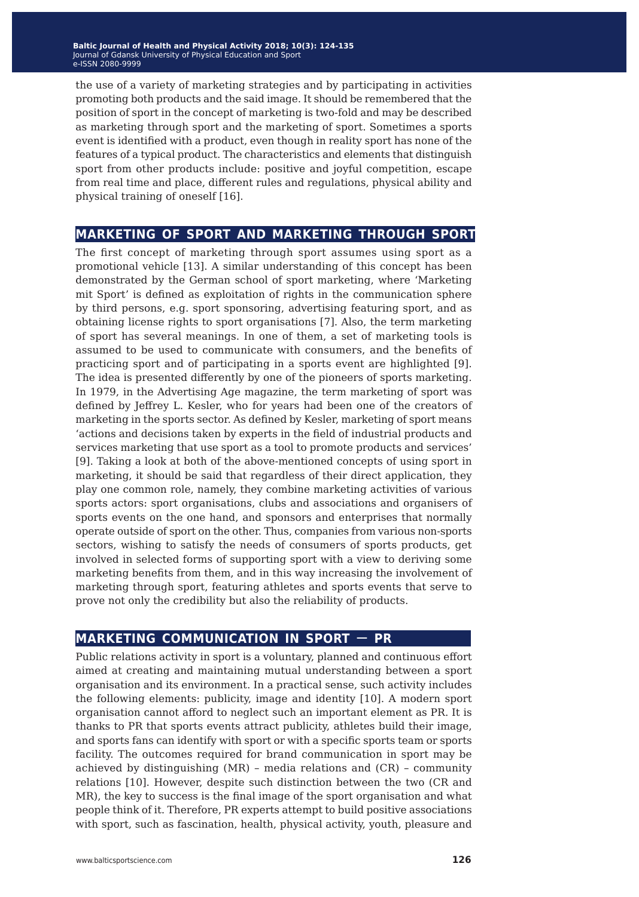the use of a variety of marketing strategies and by participating in activities promoting both products and the said image. It should be remembered that the position of sport in the concept of marketing is two-fold and may be described as marketing through sport and the marketing of sport. Sometimes a sports event is identified with a product, even though in reality sport has none of the features of a typical product. The characteristics and elements that distinguish sport from other products include: positive and joyful competition, escape from real time and place, different rules and regulations, physical ability and physical training of oneself [16].

#### **marketing of sport and marketing through sport**

The first concept of marketing through sport assumes using sport as a promotional vehicle [13]. A similar understanding of this concept has been demonstrated by the German school of sport marketing, where 'Marketing mit Sport' is defined as exploitation of rights in the communication sphere by third persons, e.g. sport sponsoring, advertising featuring sport, and as obtaining license rights to sport organisations [7]. Also, the term marketing of sport has several meanings. In one of them, a set of marketing tools is assumed to be used to communicate with consumers, and the benefits of practicing sport and of participating in a sports event are highlighted [9]. The idea is presented differently by one of the pioneers of sports marketing. In 1979, in the Advertising Age magazine, the term marketing of sport was defined by Jeffrey L. Kesler, who for years had been one of the creators of marketing in the sports sector. As defined by Kesler, marketing of sport means 'actions and decisions taken by experts in the field of industrial products and services marketing that use sport as a tool to promote products and services' [9]. Taking a look at both of the above-mentioned concepts of using sport in marketing, it should be said that regardless of their direct application, they play one common role, namely, they combine marketing activities of various sports actors: sport organisations, clubs and associations and organisers of sports events on the one hand, and sponsors and enterprises that normally operate outside of sport on the other. Thus, companies from various non-sports sectors, wishing to satisfy the needs of consumers of sports products, get involved in selected forms of supporting sport with a view to deriving some marketing benefits from them, and in this way increasing the involvement of marketing through sport, featuring athletes and sports events that serve to prove not only the credibility but also the reliability of products.

### **marketing communication in sport** ‒ **pr**

Public relations activity in sport is a voluntary, planned and continuous effort aimed at creating and maintaining mutual understanding between a sport organisation and its environment. In a practical sense, such activity includes the following elements: publicity, image and identity [10]. A modern sport organisation cannot afford to neglect such an important element as PR. It is thanks to PR that sports events attract publicity, athletes build their image, and sports fans can identify with sport or with a specific sports team or sports facility. The outcomes required for brand communication in sport may be achieved by distinguishing (MR) – media relations and (CR) – community relations [10]. However, despite such distinction between the two (CR and MR), the key to success is the final image of the sport organisation and what people think of it. Therefore, PR experts attempt to build positive associations with sport, such as fascination, health, physical activity, youth, pleasure and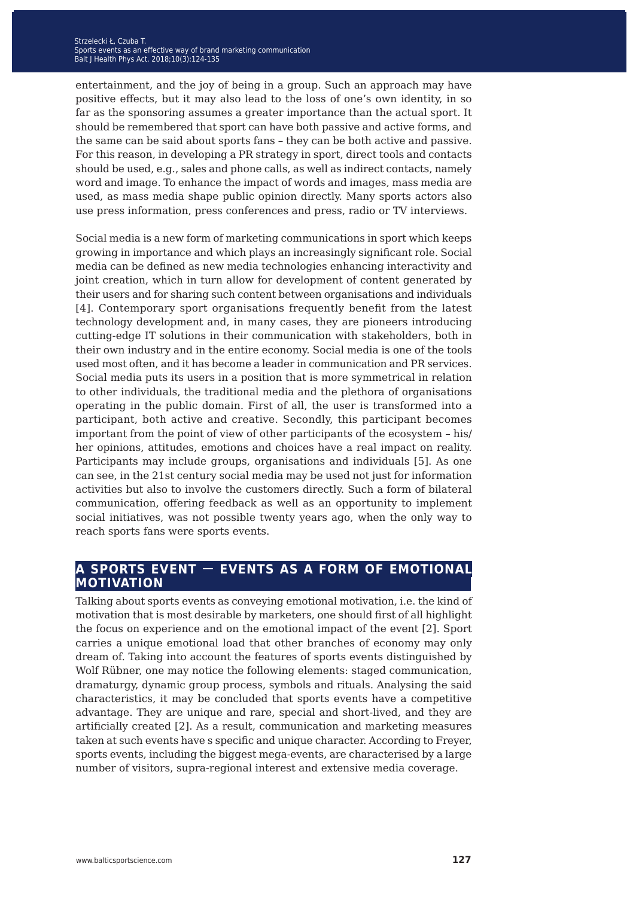entertainment, and the joy of being in a group. Such an approach may have positive effects, but it may also lead to the loss of one's own identity, in so far as the sponsoring assumes a greater importance than the actual sport. It should be remembered that sport can have both passive and active forms, and the same can be said about sports fans – they can be both active and passive. For this reason, in developing a PR strategy in sport, direct tools and contacts should be used, e.g., sales and phone calls, as well as indirect contacts, namely word and image. To enhance the impact of words and images, mass media are used, as mass media shape public opinion directly. Many sports actors also use press information, press conferences and press, radio or TV interviews.

Social media is a new form of marketing communications in sport which keeps growing in importance and which plays an increasingly significant role. Social media can be defined as new media technologies enhancing interactivity and joint creation, which in turn allow for development of content generated by their users and for sharing such content between organisations and individuals [4]. Contemporary sport organisations frequently benefit from the latest technology development and, in many cases, they are pioneers introducing cutting-edge IT solutions in their communication with stakeholders, both in their own industry and in the entire economy. Social media is one of the tools used most often, and it has become a leader in communication and PR services. Social media puts its users in a position that is more symmetrical in relation to other individuals, the traditional media and the plethora of organisations operating in the public domain. First of all, the user is transformed into a participant, both active and creative. Secondly, this participant becomes important from the point of view of other participants of the ecosystem – his/ her opinions, attitudes, emotions and choices have a real impact on reality. Participants may include groups, organisations and individuals [5]. As one can see, in the 21st century social media may be used not just for information activities but also to involve the customers directly. Such a form of bilateral communication, offering feedback as well as an opportunity to implement social initiatives, was not possible twenty years ago, when the only way to reach sports fans were sports events.

#### **a sports event** ‒ **events as a form of emotional motivation**

Talking about sports events as conveying emotional motivation, i.e. the kind of motivation that is most desirable by marketers, one should first of all highlight the focus on experience and on the emotional impact of the event [2]. Sport carries a unique emotional load that other branches of economy may only dream of. Taking into account the features of sports events distinguished by Wolf Rübner, one may notice the following elements: staged communication, dramaturgy, dynamic group process, symbols and rituals. Analysing the said characteristics, it may be concluded that sports events have a competitive advantage. They are unique and rare, special and short-lived, and they are artificially created [2]. As a result, communication and marketing measures taken at such events have s specific and unique character. According to Freyer, sports events, including the biggest mega-events, are characterised by a large number of visitors, supra-regional interest and extensive media coverage.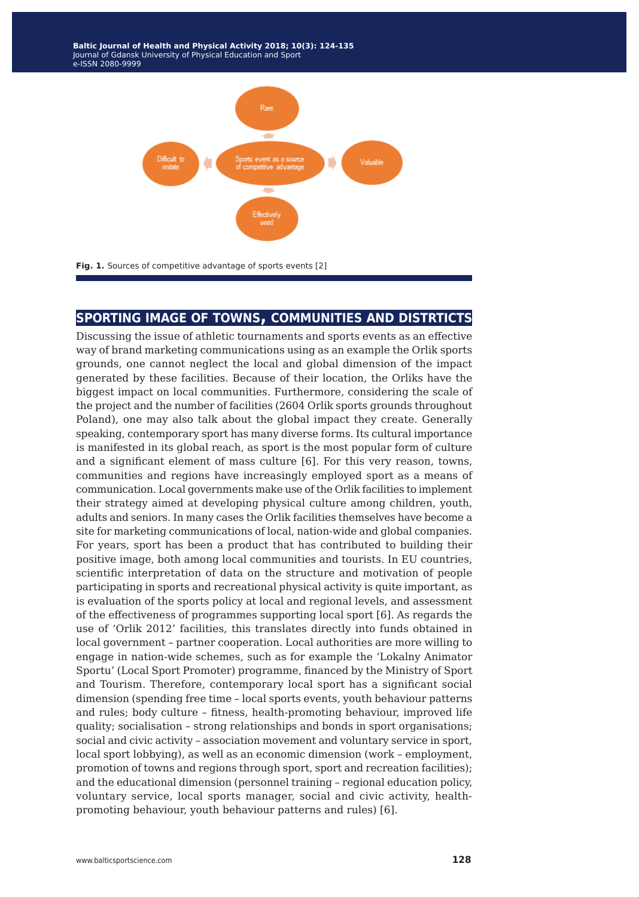**Baltic Journal of Health and Physical Activity 2014; 1(1): 1-4 Baltic Journal of Health and Physical Activity 2018; 10(3): 124-135** Journal of Gdansk University of Physical Education and Sport Journal of Gdansk University of Physical Education and Sport e-ISSN 2080-9999 e-ISSN 2080-9999



#### **sporting image of towns, communities and distrticts**

Discussing the issue of athletic tournaments and sports events as an effective way of brand marketing communications using as an example the Orlik sports grounds, one cannot neglect the local and global dimension of the impact generated by these facilities. Because of their location, the Orliks have the biggest impact on local communities. Furthermore, considering the scale of the project and the number of facilities (2604 Orlik sports grounds throughout Poland), one may also talk about the global impact they create. Generally speaking, contemporary sport has many diverse forms. Its cultural importance is manifested in its global reach, as sport is the most popular form of culture and a significant element of mass culture [6]. For this very reason, towns, communities and regions have increasingly employed sport as a means of communication. Local governments make use of the Orlik facilities to implement their strategy aimed at developing physical culture among children, youth, adults and seniors. In many cases the Orlik facilities themselves have become a site for marketing communications of local, nation-wide and global companies. For years, sport has been a product that has contributed to building their positive image, both among local communities and tourists. In EU countries, scientific interpretation of data on the structure and motivation of people participating in sports and recreational physical activity is quite important, as is evaluation of the sports policy at local and regional levels, and assessment of the effectiveness of programmes supporting local sport [6]. As regards the use of 'Orlik 2012' facilities, this translates directly into funds obtained in local government – partner cooperation. Local authorities are more willing to engage in nation-wide schemes, such as for example the 'Lokalny Animator Sportu' (Local Sport Promoter) programme, financed by the Ministry of Sport and Tourism. Therefore, contemporary local sport has a significant social dimension (spending free time – local sports events, youth behaviour patterns and rules; body culture – fitness, health-promoting behaviour, improved life quality; socialisation – strong relationships and bonds in sport organisations; social and civic activity – association movement and voluntary service in sport, local sport lobbying), as well as an economic dimension (work – employment, promotion of towns and regions through sport, sport and recreation facilities); and the educational dimension (personnel training – regional education policy, voluntary service, local sports manager, social and civic activity, healthpromoting behaviour, youth behaviour patterns and rules) [6].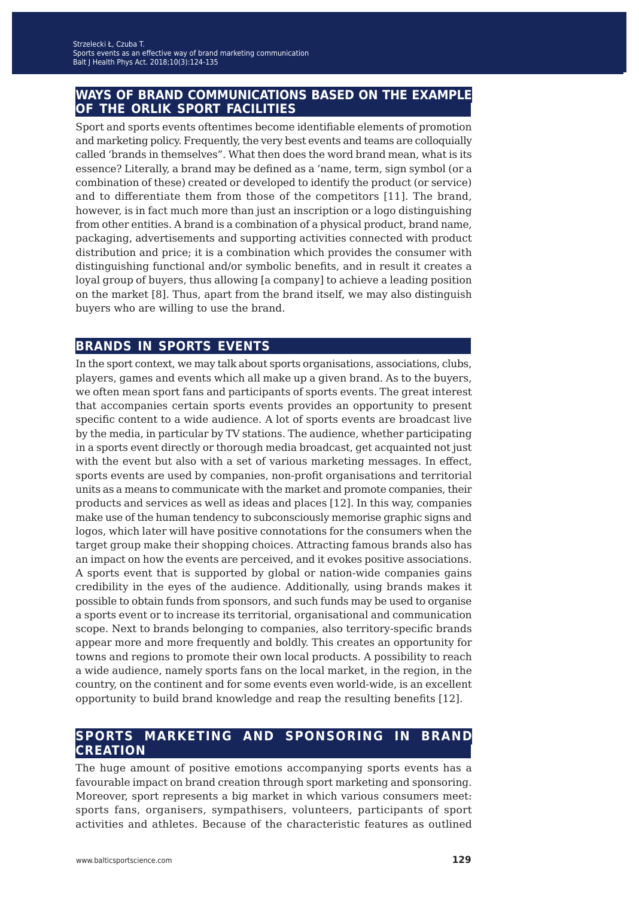#### **ways of brand communications based on the example of the orlik sport facilities**

Sport and sports events oftentimes become identifiable elements of promotion and marketing policy. Frequently, the very best events and teams are colloquially called 'brands in themselves". What then does the word brand mean, what is its essence? Literally, a brand may be defined as a 'name, term, sign symbol (or a combination of these) created or developed to identify the product (or service) and to differentiate them from those of the competitors [11]. The brand, however, is in fact much more than just an inscription or a logo distinguishing from other entities. A brand is a combination of a physical product, brand name, packaging, advertisements and supporting activities connected with product distribution and price; it is a combination which provides the consumer with distinguishing functional and/or symbolic benefits, and in result it creates a loyal group of buyers, thus allowing [a company] to achieve a leading position on the market [8]. Thus, apart from the brand itself, we may also distinguish buyers who are willing to use the brand.

#### **brands in sports events**

In the sport context, we may talk about sports organisations, associations, clubs, players, games and events which all make up a given brand. As to the buyers, we often mean sport fans and participants of sports events. The great interest that accompanies certain sports events provides an opportunity to present specific content to a wide audience. A lot of sports events are broadcast live by the media, in particular by TV stations. The audience, whether participating in a sports event directly or thorough media broadcast, get acquainted not just with the event but also with a set of various marketing messages. In effect, sports events are used by companies, non-profit organisations and territorial units as a means to communicate with the market and promote companies, their products and services as well as ideas and places [12]. In this way, companies make use of the human tendency to subconsciously memorise graphic signs and logos, which later will have positive connotations for the consumers when the target group make their shopping choices. Attracting famous brands also has an impact on how the events are perceived, and it evokes positive associations. A sports event that is supported by global or nation-wide companies gains credibility in the eyes of the audience. Additionally, using brands makes it possible to obtain funds from sponsors, and such funds may be used to organise a sports event or to increase its territorial, organisational and communication scope. Next to brands belonging to companies, also territory-specific brands appear more and more frequently and boldly. This creates an opportunity for towns and regions to promote their own local products. A possibility to reach a wide audience, namely sports fans on the local market, in the region, in the country, on the continent and for some events even world-wide, is an excellent opportunity to build brand knowledge and reap the resulting benefits [12].

### **sports marketing and sponsoring in brand creation**

The huge amount of positive emotions accompanying sports events has a favourable impact on brand creation through sport marketing and sponsoring. Moreover, sport represents a big market in which various consumers meet: sports fans, organisers, sympathisers, volunteers, participants of sport activities and athletes. Because of the characteristic features as outlined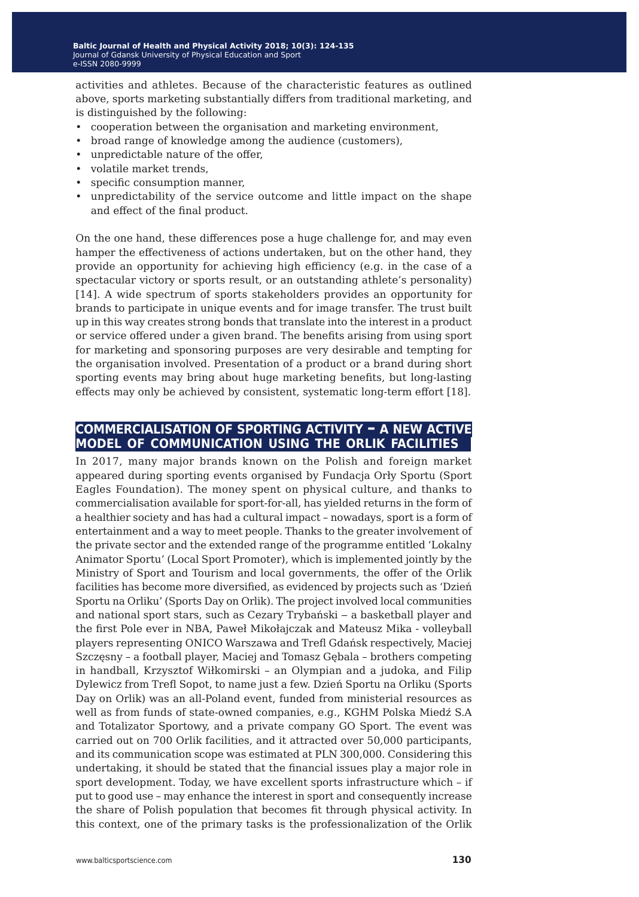activities and athletes. Because of the characteristic features as outlined above, sports marketing substantially differs from traditional marketing, and is distinguished by the following:

- cooperation between the organisation and marketing environment,
- broad range of knowledge among the audience (customers),
- unpredictable nature of the offer,
- volatile market trends,
- specific consumption manner,
- unpredictability of the service outcome and little impact on the shape and effect of the final product.

On the one hand, these differences pose a huge challenge for, and may even hamper the effectiveness of actions undertaken, but on the other hand, they provide an opportunity for achieving high efficiency (e.g. in the case of a spectacular victory or sports result, or an outstanding athlete's personality) [14]. A wide spectrum of sports stakeholders provides an opportunity for brands to participate in unique events and for image transfer. The trust built up in this way creates strong bonds that translate into the interest in a product or service offered under a given brand. The benefits arising from using sport for marketing and sponsoring purposes are very desirable and tempting for the organisation involved. Presentation of a product or a brand during short sporting events may bring about huge marketing benefits, but long-lasting effects may only be achieved by consistent, systematic long-term effort [18].

#### **commercialisation of sporting activity – a new active model of communication using the orlik facilities**

In 2017, many major brands known on the Polish and foreign market appeared during sporting events organised by Fundacja Orły Sportu (Sport Eagles Foundation). The money spent on physical culture, and thanks to commercialisation available for sport-for-all, has yielded returns in the form of a healthier society and has had a cultural impact – nowadays, sport is a form of entertainment and a way to meet people. Thanks to the greater involvement of the private sector and the extended range of the programme entitled 'Lokalny Animator Sportu' (Local Sport Promoter), which is implemented jointly by the Ministry of Sport and Tourism and local governments, the offer of the Orlik facilities has become more diversified, as evidenced by projects such as 'Dzień Sportu na Orliku' (Sports Day on Orlik). The project involved local communities and national sport stars, such as Cezary Trybański ‒ a basketball player and the first Pole ever in NBA, Paweł Mikołajczak and Mateusz Mika - volleyball players representing ONICO Warszawa and Trefl Gdańsk respectively, Maciej Szczęsny – a football player, Maciej and Tomasz Gębala – brothers competing in handball, Krzysztof Wiłkomirski – an Olympian and a judoka, and Filip Dylewicz from Trefl Sopot, to name just a few. Dzień Sportu na Orliku (Sports Day on Orlik) was an all-Poland event, funded from ministerial resources as well as from funds of state-owned companies, e.g., KGHM Polska Miedź S.A and Totalizator Sportowy, and a private company GO Sport. The event was carried out on 700 Orlik facilities, and it attracted over 50,000 participants, and its communication scope was estimated at PLN 300,000. Considering this undertaking, it should be stated that the financial issues play a major role in sport development. Today, we have excellent sports infrastructure which – if put to good use – may enhance the interest in sport and consequently increase the share of Polish population that becomes fit through physical activity. In this context, one of the primary tasks is the professionalization of the Orlik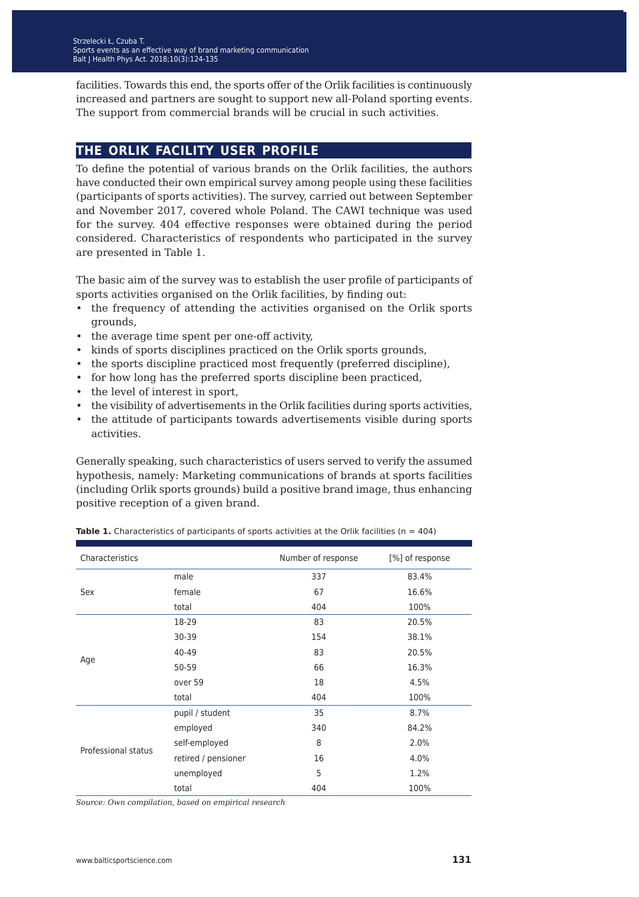facilities. Towards this end, the sports offer of the Orlik facilities is continuously increased and partners are sought to support new all-Poland sporting events. The support from commercial brands will be crucial in such activities.

#### **the orlik facility user profile**

To define the potential of various brands on the Orlik facilities, the authors have conducted their own empirical survey among people using these facilities (participants of sports activities). The survey, carried out between September and November 2017, covered whole Poland. The CAWI technique was used for the survey. 404 effective responses were obtained during the period considered. Characteristics of respondents who participated in the survey are presented in Table 1.

The basic aim of the survey was to establish the user profile of participants of sports activities organised on the Orlik facilities, by finding out:

- the frequency of attending the activities organised on the Orlik sports grounds,
- the average time spent per one-off activity,
- kinds of sports disciplines practiced on the Orlik sports grounds,
- the sports discipline practiced most frequently (preferred discipline),
- for how long has the preferred sports discipline been practiced,
- the level of interest in sport,
- the visibility of advertisements in the Orlik facilities during sports activities,
- the attitude of participants towards advertisements visible during sports activities.

Generally speaking, such characteristics of users served to verify the assumed hypothesis, namely: Marketing communications of brands at sports facilities (including Orlik sports grounds) build a positive brand image, thus enhancing positive reception of a given brand.

| Characteristics     |                     | Number of response | [%] of response |
|---------------------|---------------------|--------------------|-----------------|
| Sex                 | male                | 337                | 83.4%           |
|                     | female              | 67                 | 16.6%           |
|                     | total               | 404                | 100%            |
|                     | 18-29               | 83                 | 20.5%           |
|                     | 30-39               | 154                | 38.1%           |
|                     | 40-49               | 83                 | 20.5%           |
| Age                 | 50-59               | 66                 | 16.3%           |
|                     | over 59             | 18                 | 4.5%            |
|                     | total               | 404                | 100%            |
|                     | pupil / student     | 35                 | 8.7%            |
|                     | employed            | 340                | 84.2%           |
|                     | self-employed       | 8                  | 2.0%            |
| Professional status | retired / pensioner | 16                 | 4.0%            |
|                     | unemployed          | 5                  | 1.2%            |
|                     | total               | 404                | 100%            |

**Table 1.** Characteristics of participants of sports activities at the Orlik facilities (n = 404)

*Source: Own compilation, based on empirical research*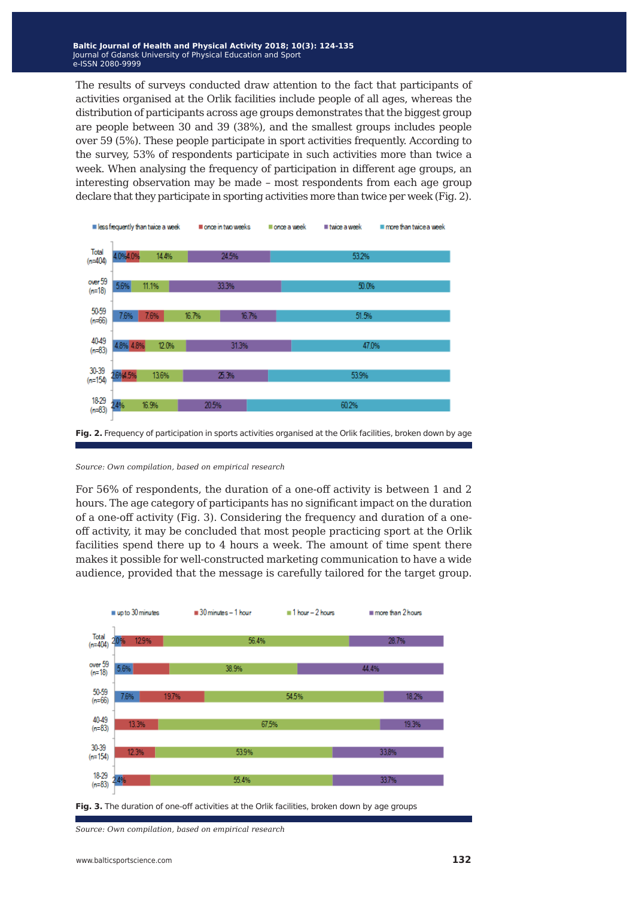The results of surveys conducted draw attention to the fact that participants of activities organised at the Orlik facilities include people of all ages, whereas the distribution of participants across age groups demonstrates that the biggest group are people between 30 and 39 (38%), and the smallest groups includes people over 59 (5%). These people participate in sport activities frequently. According to the survey, 53% of respondents participate in such activities more than twice a week. When analysing the frequency of participation in different age groups, an interesting observation may be made – most respondents from each age group declare that they participate in sporting activities more than twice per week (Fig. 2).



#### *Source: Own compilation, based on empirical research*

For 56% of respondents, the duration of a one-off activity is between 1 and 2 hours. The age category of participants has no significant impact on the duration of a one-off activity (Fig. 3). Considering the frequency and duration of a oneoff activity, it may be concluded that most people practicing sport at the Orlik facilities spend there up to 4 hours a week. The amount of time spent there makes it possible for well-constructed marketing communication to have a wide audience, provided that the message is carefully tailored for the target group.



Fig. 3. The duration of one-off activities at the Orlik facilities, broken down by age groups

*Source: Own compilation, based on empirical research*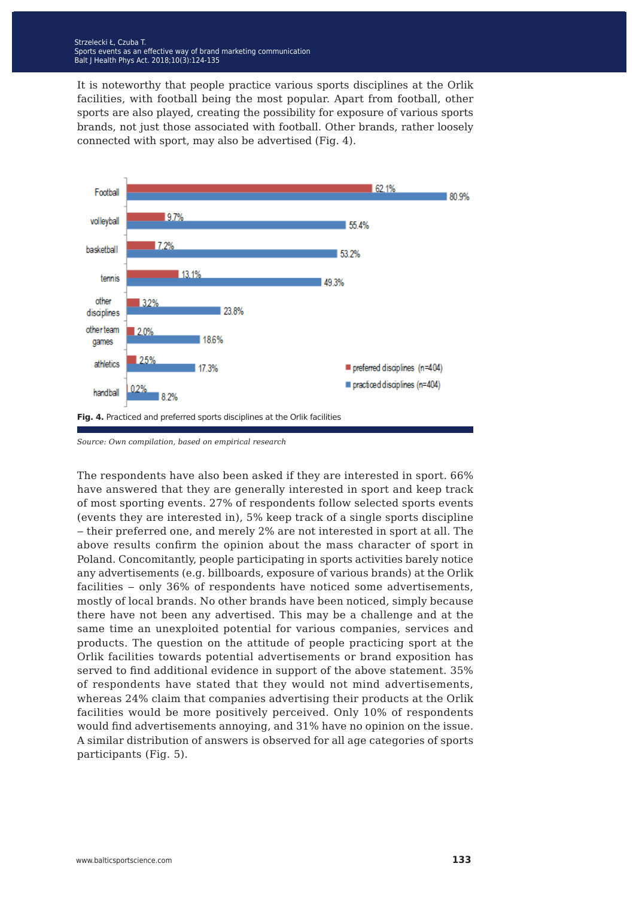It is noteworthy that people practice various sports disciplines at the Orlik facilities, with football being the most popular. Apart from football, other sports are also played, creating the possibility for exposure of various sports brands, not just those associated with football. Other brands, rather loosely connected with sport, may also be advertised (Fig. 4).



*Source: Own compilation, based on empirical research* 

The respondents have also been asked if they are interested in sport. 66% have answered that they are generally interested in sport and keep track of most sporting events. 27% of respondents follow selected sports events (events they are interested in), 5% keep track of a single sports discipline ‒ their preferred one, and merely 2% are not interested in sport at all. The above results confirm the opinion about the mass character of sport in Poland. Concomitantly, people participating in sports activities barely notice any advertisements (e.g. billboards, exposure of various brands) at the Orlik facilities - only 36% of respondents have noticed some advertisements, mostly of local brands. No other brands have been noticed, simply because there have not been any advertised. This may be a challenge and at the same time an unexploited potential for various companies, services and products. The question on the attitude of people practicing sport at the Orlik facilities towards potential advertisements or brand exposition has served to find additional evidence in support of the above statement. 35% of respondents have stated that they would not mind advertisements, whereas 24% claim that companies advertising their products at the Orlik facilities would be more positively perceived. Only 10% of respondents would find advertisements annoying, and 31% have no opinion on the issue. A similar distribution of answers is observed for all age categories of sports participants (Fig. 5).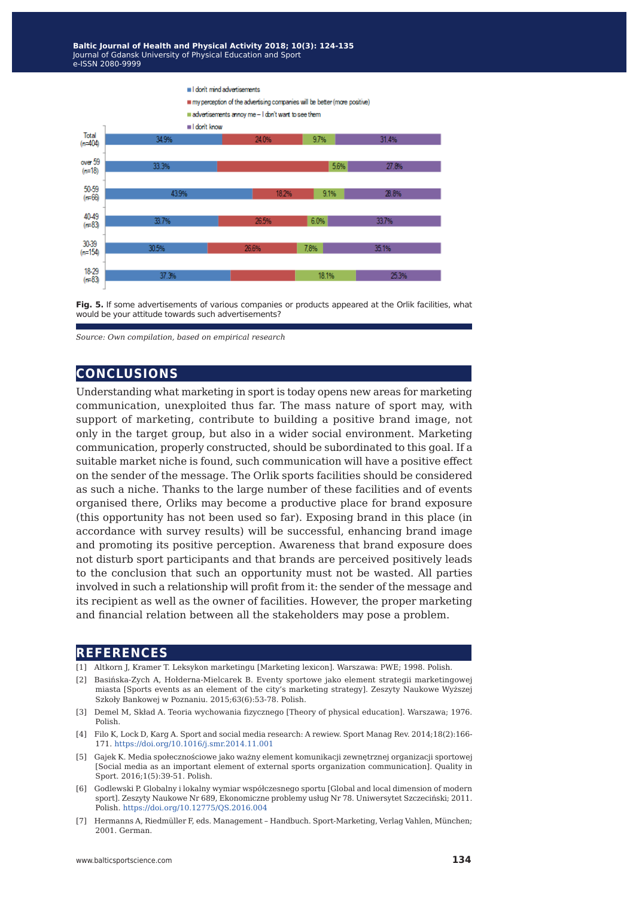

Fig. 5. If some advertisements of various companies or products appeared at the Orlik facilities, what would be your attitude towards such advertisements?

#### **conclusions**

Understanding what marketing in sport is today opens new areas for marketing communication, unexploited thus far. The mass nature of sport may, with support of marketing, contribute to building a positive brand image, not only in the target group, but also in a wider social environment. Marketing communication, properly constructed, should be subordinated to this goal. If a suitable market niche is found, such communication will have a positive effect on the sender of the message. The Orlik sports facilities should be considered as such a niche. Thanks to the large number of these facilities and of events organised there, Orliks may become a productive place for brand exposure (this opportunity has not been used so far). Exposing brand in this place (in accordance with survey results) will be successful, enhancing brand image and promoting its positive perception. Awareness that brand exposure does not disturb sport participants and that brands are perceived positively leads to the conclusion that such an opportunity must not be wasted. All parties involved in such a relationship will profit from it: the sender of the message and its recipient as well as the owner of facilities. However, the proper marketing and financial relation between all the stakeholders may pose a problem.

#### **references**

- [1] Altkorn J, Kramer T. Leksykon marketingu [Marketing lexicon]. Warszawa: PWE; 1998. Polish.
- [2] Basińska-Zych A, Hołderna-Mielcarek B. Eventy sportowe jako element strategii marketingowej miasta [Sports events as an element of the city's marketing strategy]. Zeszyty Naukowe Wyższej Szkoły Bankowej w Poznaniu. 2015;63(6):53-78. Polish.
- [3] Demel M, Skład A. Teoria wychowania fizycznego [Theory of physical education]. Warszawa; 1976. Polish.
- [4] Filo K, Lock D, Karg A. Sport and social media research: A rewiew. Sport Manag Rev. 2014;18(2):166- 171. <https://doi.org/10.1016/j.smr.2014.11.001>
- [5] Gajek K. Media społecznościowe jako ważny element komunikacji zewnętrznej organizacji sportowej [Social media as an important element of external sports organization communication]. Quality in Sport. 2016;1(5):39-51. Polish.
- [6] Godlewski P. Globalny i lokalny wymiar współczesnego sportu [Global and local dimension of modern sport]. Zeszyty Naukowe Nr 689, Ekonomiczne problemy usług Nr 78. Uniwersytet Szczeciński; 2011. Polish. <https://doi.org/10.12775/QS.2016.004>
- [7] Hermanns A, Riedmüller F, eds. Management Handbuch. Sport-Marketing, Verlag Vahlen, München; 2001. German.

*Source: Own compilation, based on empirical research*